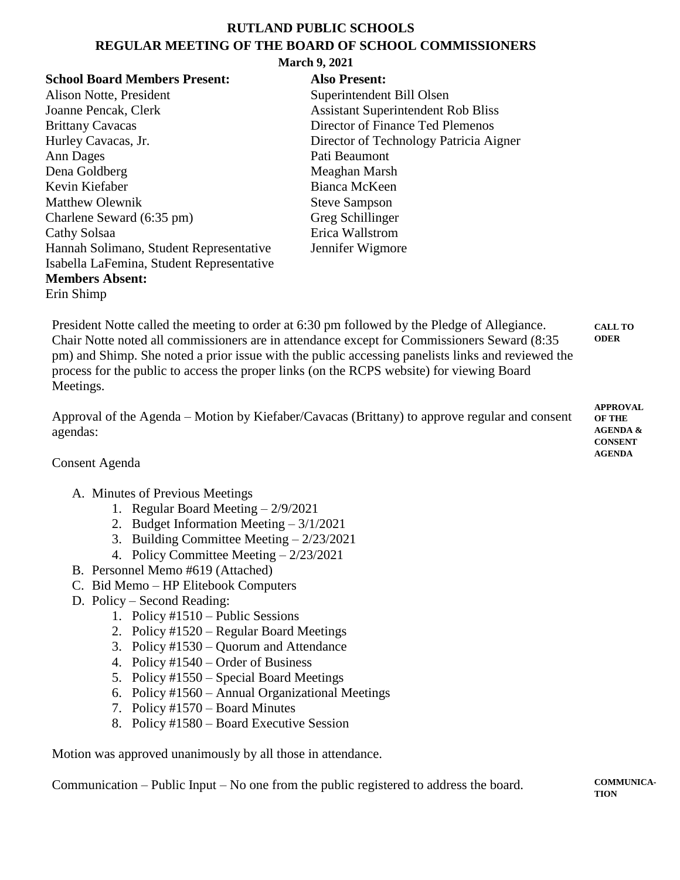## **RUTLAND PUBLIC SCHOOLS REGULAR MEETING OF THE BOARD OF SCHOOL COMMISSIONERS**

#### **March 9, 2021**

| <b>School Board Members Present:</b>      | <b>Also Present:</b>                      |
|-------------------------------------------|-------------------------------------------|
| Alison Notte, President                   | Superintendent Bill Olsen                 |
| Joanne Pencak, Clerk                      | <b>Assistant Superintendent Rob Bliss</b> |
| <b>Brittany Cavacas</b>                   | Director of Finance Ted Plemenos          |
| Hurley Cavacas, Jr.                       | Director of Technology Patricia Aigner    |
| Ann Dages                                 | Pati Beaumont                             |
| Dena Goldberg                             | Meaghan Marsh                             |
| Kevin Kiefaber                            | Bianca McKeen                             |
| <b>Matthew Olewnik</b>                    | <b>Steve Sampson</b>                      |
| Charlene Seward (6:35 pm)                 | Greg Schillinger                          |
| Cathy Solsaa                              | Erica Wallstrom                           |
| Hannah Solimano, Student Representative   | Jennifer Wigmore                          |
| Isabella LaFemina, Student Representative |                                           |
| <b>Members Absent:</b>                    |                                           |
| Erin Shimp                                |                                           |

President Notte called the meeting to order at 6:30 pm followed by the Pledge of Allegiance. Chair Notte noted all commissioners are in attendance except for Commissioners Seward (8:35 pm) and Shimp. She noted a prior issue with the public accessing panelists links and reviewed the process for the public to access the proper links (on the RCPS website) for viewing Board Meetings. **CALL TO ODER**

| Approval of the Agenda – Motion by Kiefaber/Cavacas (Brittany) to approve regular and consent | APPROVAL<br><b>OF THE</b> |
|-----------------------------------------------------------------------------------------------|---------------------------|
| agendas:                                                                                      | <b>AGENDA &amp;</b>       |
|                                                                                               | <b>CONSENT</b>            |
|                                                                                               | <b>AGENDA</b>             |

Consent Agenda

### A. Minutes of Previous Meetings

- 1. Regular Board Meeting 2/9/2021
- 2. Budget Information Meeting 3/1/2021
- 3. Building Committee Meeting 2/23/2021
- 4. Policy Committee Meeting 2/23/2021
- B. Personnel Memo #619 (Attached)
- C. Bid Memo HP Elitebook Computers
- D. Policy Second Reading:
	- 1. Policy #1510 Public Sessions
	- 2. Policy #1520 Regular Board Meetings
	- 3. Policy #1530 Quorum and Attendance
	- 4. Policy #1540 Order of Business
	- 5. Policy #1550 Special Board Meetings
	- 6. Policy #1560 Annual Organizational Meetings
	- 7. Policy #1570 Board Minutes
	- 8. Policy #1580 Board Executive Session

Motion was approved unanimously by all those in attendance.

Communication – Public Input – No one from the public registered to address the board.

**COMMUNICA-TION**

**APPROVAL**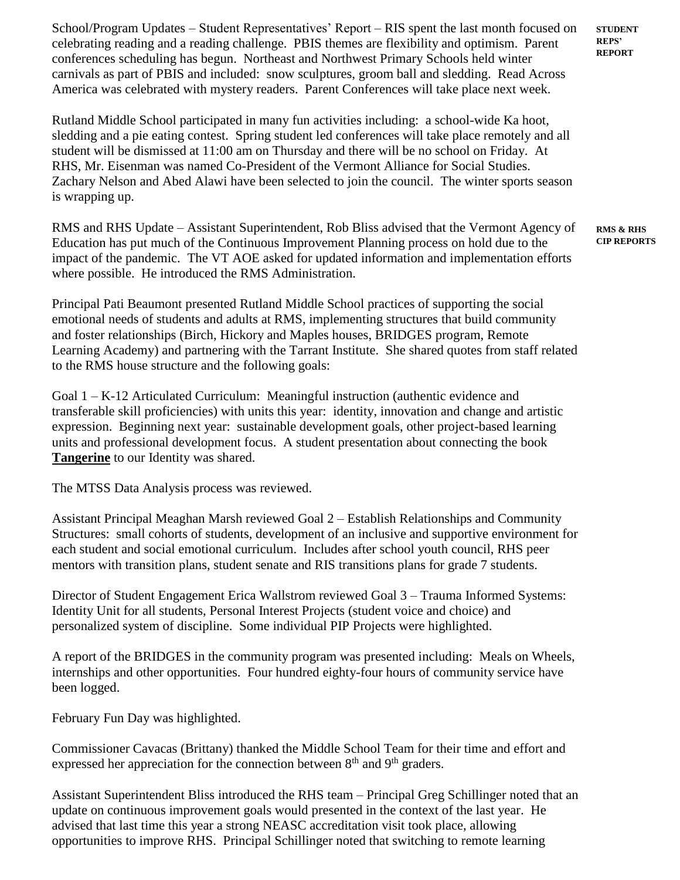School/Program Updates – Student Representatives' Report – RIS spent the last month focused on celebrating reading and a reading challenge. PBIS themes are flexibility and optimism. Parent conferences scheduling has begun. Northeast and Northwest Primary Schools held winter carnivals as part of PBIS and included: snow sculptures, groom ball and sledding. Read Across America was celebrated with mystery readers. Parent Conferences will take place next week.

Rutland Middle School participated in many fun activities including: a school-wide Ka hoot, sledding and a pie eating contest. Spring student led conferences will take place remotely and all student will be dismissed at 11:00 am on Thursday and there will be no school on Friday. At RHS, Mr. Eisenman was named Co-President of the Vermont Alliance for Social Studies. Zachary Nelson and Abed Alawi have been selected to join the council. The winter sports season is wrapping up.

RMS and RHS Update – Assistant Superintendent, Rob Bliss advised that the Vermont Agency of Education has put much of the Continuous Improvement Planning process on hold due to the impact of the pandemic. The VT AOE asked for updated information and implementation efforts where possible. He introduced the RMS Administration.

**RMS & RHS RMS & RHS CIP REPORTS CIP REPORTS**

**STUDENT STUDENT REPS' REPS' REPORT REPORT**

Principal Pati Beaumont presented Rutland Middle School practices of supporting the social emotional needs of students and adults at RMS, implementing structures that build community and foster relationships (Birch, Hickory and Maples houses, BRIDGES program, Remote Learning Academy) and partnering with the Tarrant Institute. She shared quotes from staff related to the RMS house structure and the following goals:

Goal 1 – K-12 Articulated Curriculum: Meaningful instruction (authentic evidence and transferable skill proficiencies) with units this year: identity, innovation and change and artistic expression. Beginning next year: sustainable development goals, other project-based learning units and professional development focus. A student presentation about connecting the book **Tangerine** to our Identity was shared.

The MTSS Data Analysis process was reviewed.

Assistant Principal Meaghan Marsh reviewed Goal 2 – Establish Relationships and Community Structures: small cohorts of students, development of an inclusive and supportive environment for each student and social emotional curriculum. Includes after school youth council, RHS peer mentors with transition plans, student senate and RIS transitions plans for grade 7 students.

Director of Student Engagement Erica Wallstrom reviewed Goal 3 – Trauma Informed Systems: Identity Unit for all students, Personal Interest Projects (student voice and choice) and personalized system of discipline. Some individual PIP Projects were highlighted.

A report of the BRIDGES in the community program was presented including: Meals on Wheels, internships and other opportunities. Four hundred eighty-four hours of community service have been logged.

February Fun Day was highlighted.

Commissioner Cavacas (Brittany) thanked the Middle School Team for their time and effort and expressed her appreciation for the connection between  $8<sup>th</sup>$  and  $9<sup>th</sup>$  graders.

Assistant Superintendent Bliss introduced the RHS team – Principal Greg Schillinger noted that an update on continuous improvement goals would presented in the context of the last year. He advised that last time this year a strong NEASC accreditation visit took place, allowing opportunities to improve RHS. Principal Schillinger noted that switching to remote learning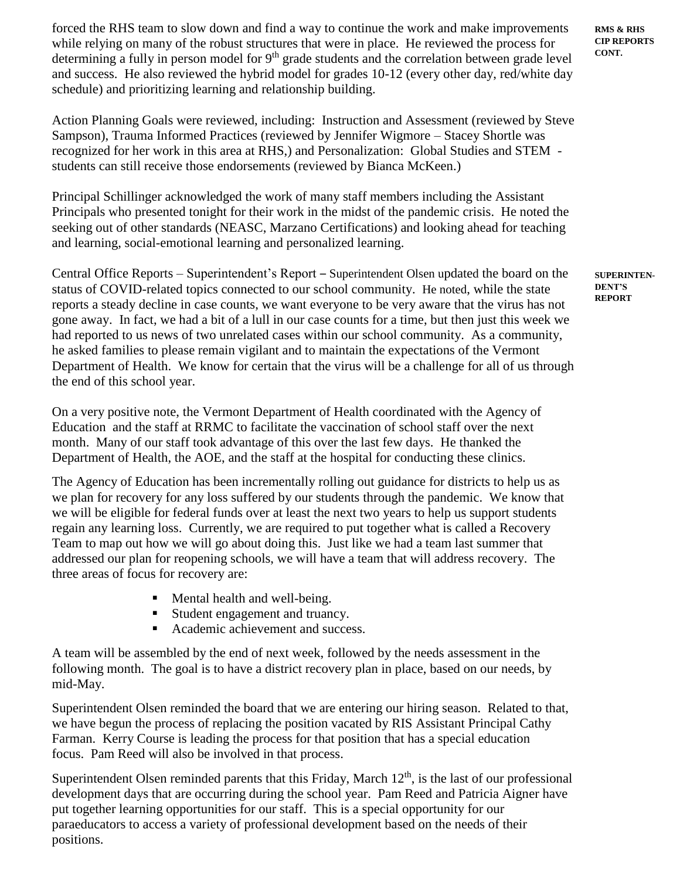forced the RHS team to slow down and find a way to continue the work and make improvements while relying on many of the robust structures that were in place. He reviewed the process for determining a fully in person model for 9<sup>th</sup> grade students and the correlation between grade level and success. He also reviewed the hybrid model for grades 10-12 (every other day, red/white day schedule) and prioritizing learning and relationship building.

Action Planning Goals were reviewed, including: Instruction and Assessment (reviewed by Steve Sampson), Trauma Informed Practices (reviewed by Jennifer Wigmore – Stacey Shortle was recognized for her work in this area at RHS,) and Personalization: Global Studies and STEM students can still receive those endorsements (reviewed by Bianca McKeen.)

Principal Schillinger acknowledged the work of many staff members including the Assistant Principals who presented tonight for their work in the midst of the pandemic crisis. He noted the seeking out of other standards (NEASC, Marzano Certifications) and looking ahead for teaching and learning, social-emotional learning and personalized learning.

Central Office Reports – Superintendent's Report – Superintendent Olsen updated the board on the status of COVID-related topics connected to our school community. He noted, while the state reports a steady decline in case counts, we want everyone to be very aware that the virus has not gone away. In fact, we had a bit of a lull in our case counts for a time, but then just this week we had reported to us news of two unrelated cases within our school community. As a community, he asked families to please remain vigilant and to maintain the expectations of the Vermont Department of Health. We know for certain that the virus will be a challenge for all of us through the end of this school year.

On a very positive note, the Vermont Department of Health coordinated with the Agency of Education and the staff at RRMC to facilitate the vaccination of school staff over the next month. Many of our staff took advantage of this over the last few days. He thanked the Department of Health, the AOE, and the staff at the hospital for conducting these clinics.

The Agency of Education has been incrementally rolling out guidance for districts to help us as we plan for recovery for any loss suffered by our students through the pandemic. We know that we will be eligible for federal funds over at least the next two years to help us support students regain any learning loss. Currently, we are required to put together what is called a Recovery Team to map out how we will go about doing this. Just like we had a team last summer that addressed our plan for reopening schools, we will have a team that will address recovery. The three areas of focus for recovery are:

- Mental health and well-being.
- Student engagement and truancy.
- Academic achievement and success.

A team will be assembled by the end of next week, followed by the needs assessment in the following month. The goal is to have a district recovery plan in place, based on our needs, by mid-May.

Superintendent Olsen reminded the board that we are entering our hiring season. Related to that, we have begun the process of replacing the position vacated by RIS Assistant Principal Cathy Farman. Kerry Course is leading the process for that position that has a special education focus. Pam Reed will also be involved in that process.

Superintendent Olsen reminded parents that this Friday, March  $12<sup>th</sup>$ , is the last of our professional development days that are occurring during the school year. Pam Reed and Patricia Aigner have put together learning opportunities for our staff. This is a special opportunity for our paraeducators to access a variety of professional development based on the needs of their positions.

**RMS & RHS CIP REPORTS CONT.**

**SUPERINTEN-DENT'S REPORT**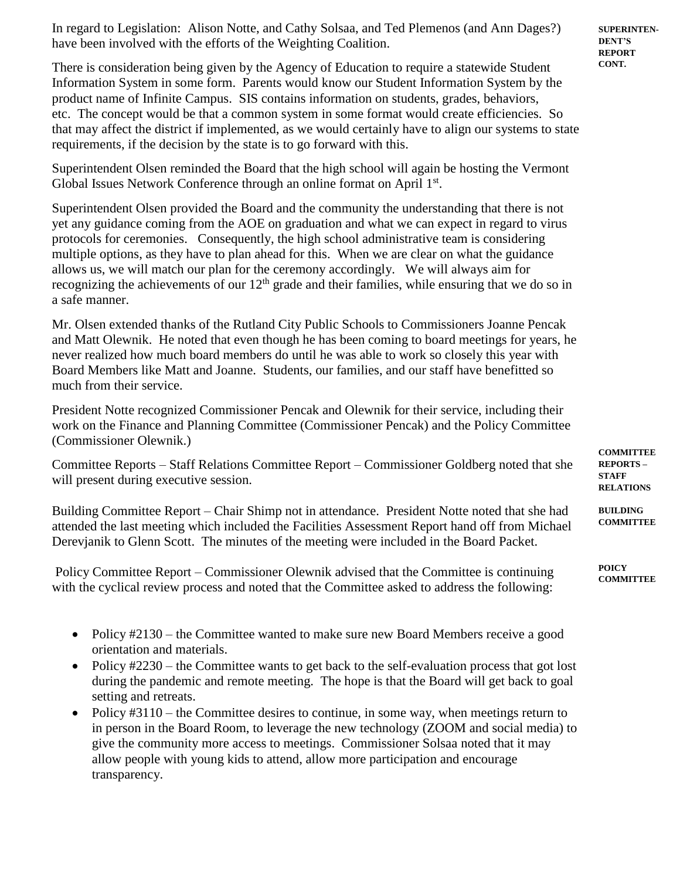In regard to Legislation: Alison Notte, and Cathy Solsaa, and Ted Plemenos (and Ann Dages?) have been involved with the efforts of the Weighting Coalition.

There is consideration being given by the Agency of Education to require a statewide Student Information System in some form. Parents would know our Student Information System by the product name of Infinite Campus. SIS contains information on students, grades, behaviors, etc. The concept would be that a common system in some format would create efficiencies. So that may affect the district if implemented, as we would certainly have to align our systems to state requirements, if the decision by the state is to go forward with this.

Superintendent Olsen reminded the Board that the high school will again be hosting the Vermont Global Issues Network Conference through an online format on April 1st.

Superintendent Olsen provided the Board and the community the understanding that there is not yet any guidance coming from the AOE on graduation and what we can expect in regard to virus protocols for ceremonies. Consequently, the high school administrative team is considering multiple options, as they have to plan ahead for this. When we are clear on what the guidance allows us, we will match our plan for the ceremony accordingly. We will always aim for recognizing the achievements of our  $12<sup>th</sup>$  grade and their families, while ensuring that we do so in a safe manner.

Mr. Olsen extended thanks of the Rutland City Public Schools to Commissioners Joanne Pencak and Matt Olewnik. He noted that even though he has been coming to board meetings for years, he never realized how much board members do until he was able to work so closely this year with Board Members like Matt and Joanne. Students, our families, and our staff have benefitted so much from their service.

President Notte recognized Commissioner Pencak and Olewnik for their service, including their work on the Finance and Planning Committee (Commissioner Pencak) and the Policy Committee (Commissioner Olewnik.)

Committee Reports – Staff Relations Committee Report – Commissioner Goldberg noted that she will present during executive session.

Building Committee Report – Chair Shimp not in attendance. President Notte noted that she had attended the last meeting which included the Facilities Assessment Report hand off from Michael Derevjanik to Glenn Scott. The minutes of the meeting were included in the Board Packet.

Policy Committee Report – Commissioner Olewnik advised that the Committee is continuing with the cyclical review process and noted that the Committee asked to address the following:

- Policy #2130 the Committee wanted to make sure new Board Members receive a good orientation and materials.
- Policy #2230 the Committee wants to get back to the self-evaluation process that got lost during the pandemic and remote meeting. The hope is that the Board will get back to goal setting and retreats.
- Policy #3110 the Committee desires to continue, in some way, when meetings return to in person in the Board Room, to leverage the new technology (ZOOM and social media) to give the community more access to meetings. Commissioner Solsaa noted that it may allow people with young kids to attend, allow more participation and encourage transparency.

**SUPERINTEN-DENT'S REPORT CONT.**

**COMMITTEE REPORTS – STAFF RELATIONS**

**BUILDING COMMITTEE**

**POICY COMMITTEE**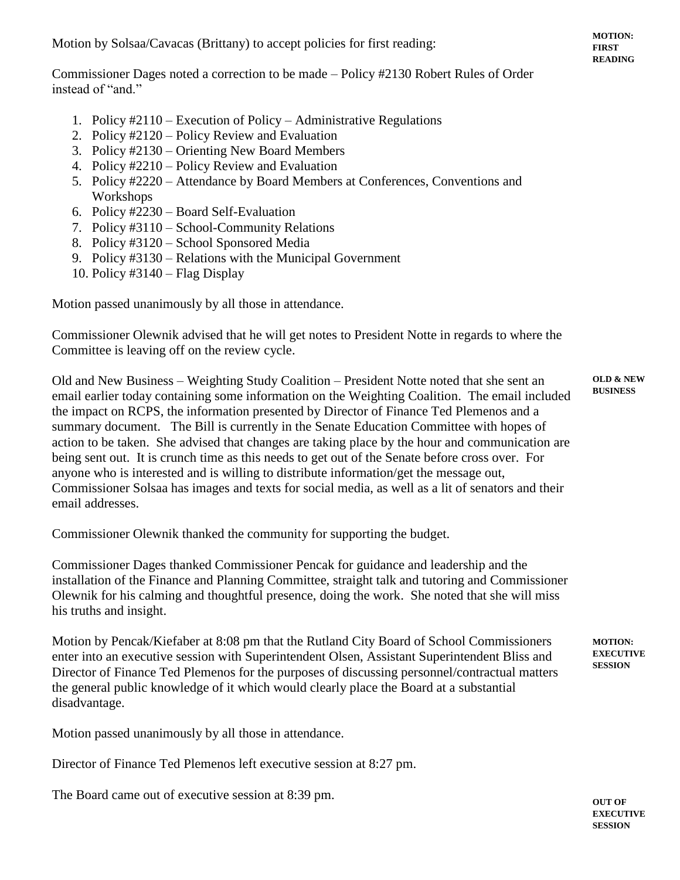Motion by Solsaa/Cavacas (Brittany) to accept policies for first reading:

Commissioner Dages noted a correction to be made – Policy #2130 Robert Rules of Order instead of "and."

- 1. Policy #2110 Execution of Policy Administrative Regulations
- 2. Policy #2120 Policy Review and Evaluation
- 3. Policy #2130 Orienting New Board Members
- 4. Policy #2210 Policy Review and Evaluation
- 5. Policy #2220 Attendance by Board Members at Conferences, Conventions and Workshops
- 6. Policy #2230 Board Self-Evaluation
- 7. Policy #3110 School-Community Relations
- 8. Policy #3120 School Sponsored Media
- 9. Policy #3130 Relations with the Municipal Government
- 10. Policy #3140 Flag Display

Motion passed unanimously by all those in attendance.

Commissioner Olewnik advised that he will get notes to President Notte in regards to where the Committee is leaving off on the review cycle.

Old and New Business – Weighting Study Coalition – President Notte noted that she sent an email earlier today containing some information on the Weighting Coalition. The email included the impact on RCPS, the information presented by Director of Finance Ted Plemenos and a summary document. The Bill is currently in the Senate Education Committee with hopes of action to be taken. She advised that changes are taking place by the hour and communication are being sent out. It is crunch time as this needs to get out of the Senate before cross over. For anyone who is interested and is willing to distribute information/get the message out, Commissioner Solsaa has images and texts for social media, as well as a lit of senators and their email addresses. **OLD & NEW BUSINESS**

Commissioner Olewnik thanked the community for supporting the budget.

Commissioner Dages thanked Commissioner Pencak for guidance and leadership and the installation of the Finance and Planning Committee, straight talk and tutoring and Commissioner Olewnik for his calming and thoughtful presence, doing the work. She noted that she will miss his truths and insight.

Motion by Pencak/Kiefaber at 8:08 pm that the Rutland City Board of School Commissioners enter into an executive session with Superintendent Olsen, Assistant Superintendent Bliss and Director of Finance Ted Plemenos for the purposes of discussing personnel/contractual matters the general public knowledge of it which would clearly place the Board at a substantial disadvantage.

Motion passed unanimously by all those in attendance.

Director of Finance Ted Plemenos left executive session at 8:27 pm.

The Board came out of executive session at 8:39 pm.

**MOTION: EXECUTIVE SESSION**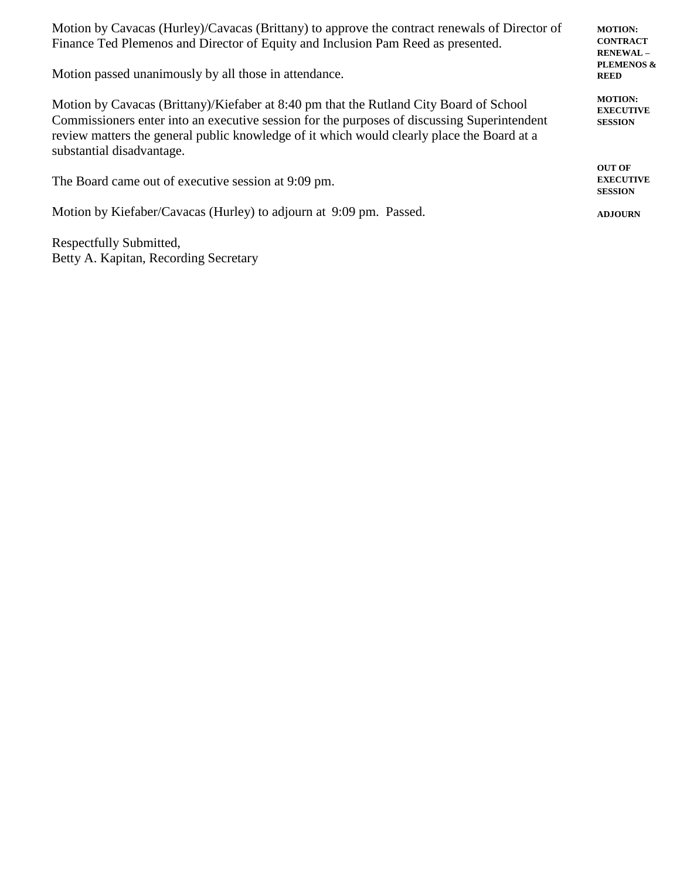Motion by Cavacas (Hurley)/Cavacas (Brittany) to approve the contract renewals of Director of Finance Ted Plemenos and Director of Equity and Inclusion Pam Reed as presented.

Motion passed unanimously by all those in attendance.

Motion by Cavacas (Brittany)/Kiefaber at 8:40 pm that the Rutland City Board of School Commissioners enter into an executive session for the purposes of discussing Superintendent review matters the general public knowledge of it which would clearly place the Board at a substantial disadvantage.

The Board came out of executive session at 9:09 pm.

Motion by Kiefaber/Cavacas (Hurley) to adjourn at 9:09 pm. Passed.

Respectfully Submitted, Betty A. Kapitan, Recording Secretary **MOTION: CONTRACT RENEWAL – PLEMENOS & REED**

**MOTION: EXECUTIVE SESSION**

**OUT OF EXECUTIVE SESSION**

**ADJOURN**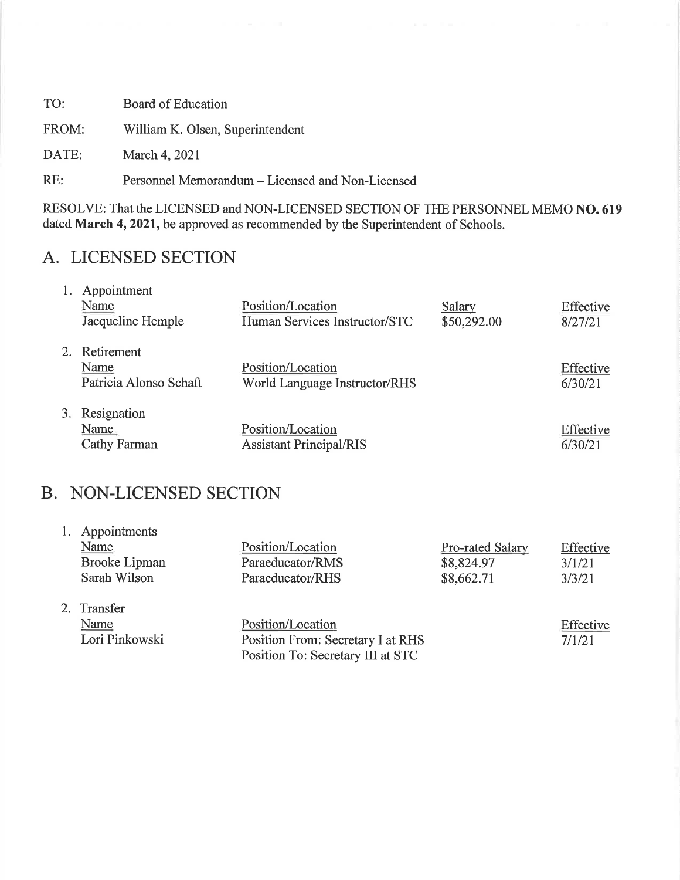TO: **Board of Education** William K. Olsen, Superintendent FROM: March 4, 2021 DATE:

Personnel Memorandum - Licensed and Non-Licensed  $RE:$ 

RESOLVE: That the LICENSED and NON-LICENSED SECTION OF THE PERSONNEL MEMO NO. 619 dated March 4, 2021, be approved as recommended by the Superintendent of Schools.

# A. LICENSED SECTION

|    | Appointment            |                                |             |           |
|----|------------------------|--------------------------------|-------------|-----------|
|    | Name                   | Position/Location              | Salary      | Effective |
|    | Jacqueline Hemple      | Human Services Instructor/STC  | \$50,292.00 | 8/27/21   |
|    |                        |                                |             |           |
| 2. | Retirement             |                                |             |           |
|    | Name                   | Position/Location              |             | Effective |
|    | Patricia Alonso Schaft | World Language Instructor/RHS  |             | 6/30/21   |
|    |                        |                                |             |           |
| 3. | Resignation            |                                |             |           |
|    | Name                   | Position/Location              |             | Effective |
|    | Cathy Farman           | <b>Assistant Principal/RIS</b> |             | 6/30/21   |

# **B. NON-LICENSED SECTION**

| 1. Appointments<br>Name<br><b>Brooke Lipman</b><br>Sarah Wilson | Position/Location<br>Paraeducator/RMS<br>Paraeducator/RHS | <b>Pro-rated Salary</b><br>\$8,824.97<br>\$8,662.71 | Effective<br>3/1/21<br>3/3/21 |
|-----------------------------------------------------------------|-----------------------------------------------------------|-----------------------------------------------------|-------------------------------|
| 2. Transfer                                                     |                                                           |                                                     |                               |
| Name                                                            | Position/Location                                         |                                                     | Effective                     |
| Lori Pinkowski                                                  | Position From: Secretary I at RHS                         |                                                     | 7/1/21                        |
|                                                                 | Position To: Secretary III at STC                         |                                                     |                               |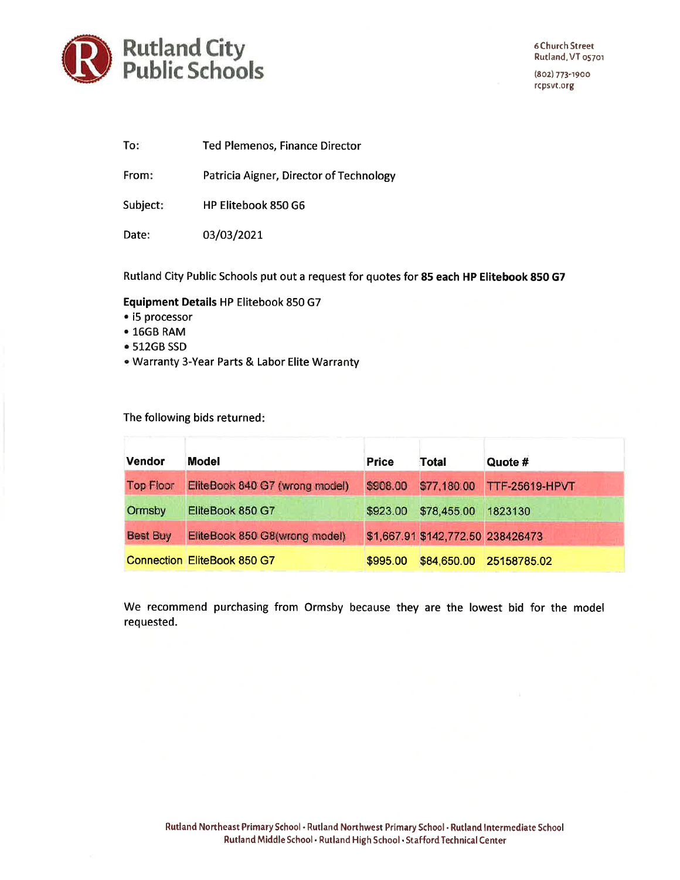

To: Ted Plemenos, Finance Director

From: Patricia Aigner, Director of Technology

Subject: HP Elitebook 850 G6

Date: 03/03/2021

Rutland City Public Schools put out a request for quotes for 85 each HP Elitebook 850 G7

#### Equipment Details HP Elitebook 850 G7

- i5 processor
- $16GB RAM$
- 512GB SSD
- . Warranty 3-Year Parts & Labor Elite Warranty

The following bids returned:

| <b>Vendor</b>    | <b>Model</b>                       | <b>Price</b> | <b>Total</b>                      | Quote #               |
|------------------|------------------------------------|--------------|-----------------------------------|-----------------------|
| <b>Top Floor</b> | EliteBook 840 G7 (wrong model)     | \$908.00     | \$77,180.00                       | <b>TTF-25619-HPVT</b> |
| Ormsby           | EliteBook 850 G7                   | \$923.00     | \$78,455.00                       | 1823130               |
| <b>Best Buy</b>  | EliteBook 850 G8(wrong model)      |              | \$1,667.91 \$142,772.50 238426473 |                       |
|                  | <b>Connection EliteBook 850 G7</b> | \$995.00     | \$84,650.00                       | 25158785.02           |

We recommend purchasing from Ormsby because they are the lowest bid for the model requested.